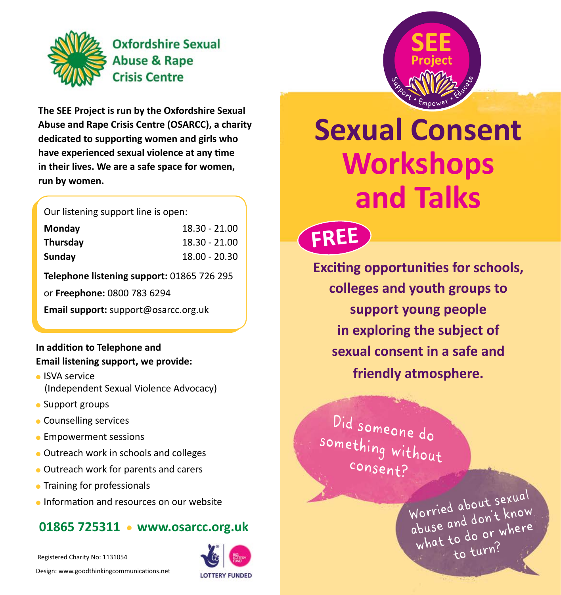

**The SEE Project is run by the Oxfordshire Sexual Abuse and Rape Crisis Centre (OSARCC), a charity dedicated to supporting women and girls who have experienced sexual violence at any time in their lives. We are a safe space for women, run by women.**

Our listening support line is open:

| Monday   | 18.30 - 21.00 |
|----------|---------------|
| Thursday | 18.30 - 21.00 |
| Sunday   | 18.00 - 20.30 |

**Telephone listening support:** 01865 726 295

or **Freephone:** 0800 783 6294

**Email support:** support@osarcc.org.uk

#### **In addition to Telephone and Email listening support, we provide:**

- **.** ISVA service (Independent Sexual Violence Advocacy)
- Support groups
- **Counselling services**
- **Empowerment sessions**
- **.** Outreach work in schools and colleges
- **.** Outreach work for parents and carers
- **Training for professionals**
- **Information and resources on our website**

### **01865 725311 • www.osarcc.org.uk**

Registered Charity No: 1131054

Design: www.goodthinkingcommunications.net





# **Sexual Consent Workshops and Talks**

**FREE**

**Exciting opportunities for schools, colleges and youth groups to support young people in exploring the subject of sexual consent in a safe and friendly atmosphere.** 

**Did someone do**  something without **consent?**

> **Worried about sexual abuse and don't know what to do or where to turn?**